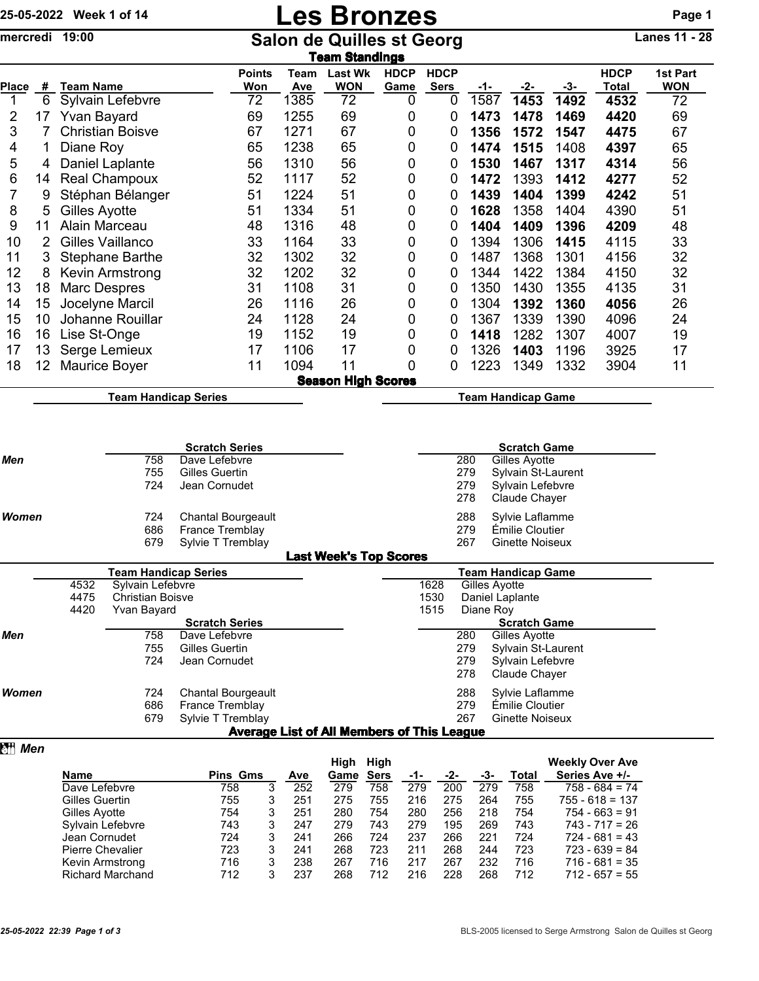## 25-05-2022 Week 1 of 14 **Les Bronzes** Page 1

mercredi 19:00 Salon de Quilles st Georg Lanes 11 - 28

|              | Team Standings |                         |                      |             |                              |                     |                            |      |      |      |                      |                        |  |
|--------------|----------------|-------------------------|----------------------|-------------|------------------------------|---------------------|----------------------------|------|------|------|----------------------|------------------------|--|
| <b>Place</b> | #              | Team Name               | <b>Points</b><br>Won | Team<br>Ave | <b>Last Wk</b><br><b>WON</b> | <b>HDCP</b><br>Game | <b>HDCP</b><br><b>Sers</b> | -1-  | -2-  | -3-  | <b>HDCP</b><br>Total | 1st Part<br><b>WON</b> |  |
|              | 6              | Sylvain Lefebvre        | 72                   | 1385        | 72                           | 0                   | 0                          | 1587 | 1453 | 1492 | 4532                 | 72                     |  |
| 2            | 17             | <b>Yvan Bayard</b>      | 69                   | 1255        | 69                           | 0                   | 0                          | 1473 | 1478 | 1469 | 4420                 | 69                     |  |
| 3            |                | <b>Christian Boisve</b> | 67                   | 1271        | 67                           | 0                   | 0                          | 1356 | 1572 | 1547 | 4475                 | 67                     |  |
| 4            |                | Diane Roy               | 65                   | 1238        | 65                           | 0                   | 0                          | 1474 | 1515 | 1408 | 4397                 | 65                     |  |
| 5            | 4              | Daniel Laplante         | 56                   | 1310        | 56                           | 0                   | 0                          | 1530 | 1467 | 1317 | 4314                 | 56                     |  |
| 6            | 14             | Real Champoux           | 52                   | 1117        | 52                           | 0                   | 0                          | 1472 | 1393 | 1412 | 4277                 | 52                     |  |
| 7            | 9              | Stéphan Bélanger        | 51                   | 1224        | 51                           | 0                   | 0                          | 1439 | 1404 | 1399 | 4242                 | 51                     |  |
| 8            | 5.             | Gilles Ayotte           | 51                   | 1334        | 51                           | 0                   | 0                          | 1628 | 1358 | 1404 | 4390                 | 51                     |  |
| 9            | 11             | Alain Marceau           | 48                   | 1316        | 48                           | 0                   | 0                          | 1404 | 1409 | 1396 | 4209                 | 48                     |  |
| 10           |                | Gilles Vaillanco        | 33                   | 1164        | 33                           | 0                   | 0                          | 1394 | 1306 | 1415 | 4115                 | 33                     |  |
| 11           | 3              | <b>Stephane Barthe</b>  | 32                   | 1302        | 32                           | 0                   | 0                          | 1487 | 1368 | 1301 | 4156                 | 32                     |  |
| 12           | 8              | Kevin Armstrong         | 32                   | 1202        | 32                           | 0                   | 0                          | 1344 | 1422 | 1384 | 4150                 | 32                     |  |
| 13           | 18             | Marc Despres            | 31                   | 1108        | 31                           | 0                   | 0                          | 1350 | 1430 | 1355 | 4135                 | 31                     |  |
| 14           | 15             | Jocelyne Marcil         | 26                   | 1116        | 26                           | 0                   | 0                          | 1304 | 1392 | 1360 | 4056                 | 26                     |  |
| 15           | 10             | Johanne Rouillar        | 24                   | 1128        | 24                           | 0                   | 0                          | 1367 | 1339 | 1390 | 4096                 | 24                     |  |
| 16           | 16             | Lise St-Onge            | 19                   | 1152        | 19                           | 0                   | 0                          | 1418 | 1282 | 1307 | 4007                 | 19                     |  |
| 17           | 13             | Serge Lemieux           | 17                   | 1106        | 17                           | 0                   | 0                          | 1326 | 1403 | 1196 | 3925                 | 17                     |  |
| 18           | 12             | Maurice Boyer           | 11                   | 1094        | 11                           | 0                   | 0                          | 1223 | 1349 | 1332 | 3904                 | 11                     |  |
|              |                |                         |                      |             | <b>Season High Scores</b>    |                     |                            |      |      |      |                      |                        |  |

Team Handicap Series **Team Handicap Game** 

|              |        | <b>Scratch Series</b>     |                               |     | <b>Scratch Game</b>    |
|--------------|--------|---------------------------|-------------------------------|-----|------------------------|
| Men          | 758    | Dave Lefebvre             |                               | 280 | Gilles Avotte          |
|              | 755    | Gilles Guertin            |                               | 279 | Sylvain St-Laurent     |
|              | 724    | Jean Cornudet             |                               | 279 | Sylvain Lefebvre       |
|              |        |                           |                               | 278 | Claude Chaver          |
| <b>Women</b> | 724    | <b>Chantal Bourgeault</b> |                               | 288 | Sylvie Laflamme        |
|              | 686    | France Tremblay           |                               | 279 | Émilie Cloutier        |
|              | 679    | Sylvie T Tremblay         |                               | 267 | <b>Ginette Noiseux</b> |
|              |        |                           | <b>Last Week's Top Scores</b> |     |                        |
|              | $\sim$ | .                         |                               |     | _ … …                  |

|              |                       | Team Handicap Series    |                           |                                            | Team Handicap Game |                 |                     |  |  |  |
|--------------|-----------------------|-------------------------|---------------------------|--------------------------------------------|--------------------|-----------------|---------------------|--|--|--|
|              | 4532                  | Sylvain Lefebvre        |                           |                                            | 1628               |                 | Gilles Ayotte       |  |  |  |
|              | 4475                  | <b>Christian Boisve</b> |                           |                                            | 1530               | Daniel Laplante |                     |  |  |  |
|              | 4420                  | Yvan Bayard             |                           | 1515                                       | Diane Roy          |                 |                     |  |  |  |
|              | <b>Scratch Series</b> |                         |                           |                                            |                    |                 | <b>Scratch Game</b> |  |  |  |
| Men          |                       | 758                     | Dave Lefebvre             |                                            |                    | 280             | Gilles Ayotte       |  |  |  |
|              |                       | 755                     | Gilles Guertin            |                                            |                    | 279             | Sylvain St-Laurent  |  |  |  |
|              |                       | 724                     | Jean Cornudet             |                                            |                    | 279             | Sylvain Lefebvre    |  |  |  |
|              |                       |                         |                           |                                            |                    | 278             | Claude Chaver       |  |  |  |
| <b>Women</b> |                       | 724                     | <b>Chantal Bourgeault</b> |                                            |                    | 288             | Sylvie Laflamme     |  |  |  |
|              |                       | 686                     | <b>France Tremblay</b>    |                                            |                    | 279             | Émilie Cloutier     |  |  |  |
|              |                       | 679                     | Sylvie T Tremblay         |                                            |                    | 267             | Ginette Noiseux     |  |  |  |
|              |                       |                         |                           | Average List of All Members of This League |                    |                 |                     |  |  |  |

## **z** *Men*

|                         |                 |   |     | High | High        |     |     |     |       | <b>Weekly Over Ave</b> |
|-------------------------|-----------------|---|-----|------|-------------|-----|-----|-----|-------|------------------------|
| <b>Name</b>             | <b>Pins Gms</b> |   | Ave | Game | <b>Sers</b> | -1- | -2- | -3- | Total | Series Ave +/-         |
| Dave Lefebvre           | 758             | 3 | 252 | 279  | 758         | 279 | 200 | 279 | 758   | $758 - 684 = 74$       |
| Gilles Guertin          | 755             |   | 251 | 275  | 755         | 216 | 275 | 264 | 755   | $755 - 618 = 137$      |
| Gilles Ayotte           | 754             | 3 | 251 | 280  | 754         | 280 | 256 | 218 | 754   | $754 - 663 = 91$       |
| Sylvain Lefebvre        | 743             |   | 247 | 279  | 743         | 279 | 195 | 269 | 743   | $743 - 717 = 26$       |
| Jean Cornudet           | 724             |   | 241 | 266  | 724         | 237 | 266 | 221 | 724   | $724 - 681 = 43$       |
| <b>Pierre Chevalier</b> | 723             |   | 241 | 268  | 723         | 211 | 268 | 244 | 723   | $723 - 639 = 84$       |
| Kevin Armstrong         | 716             |   | 238 | 267  | 716         | 217 | 267 | 232 | 716   | $716 - 681 = 35$       |
| <b>Richard Marchand</b> | 712             |   | 237 | 268  | 712         | 216 | 228 | 268 | 712   | $712 - 657 = 55$       |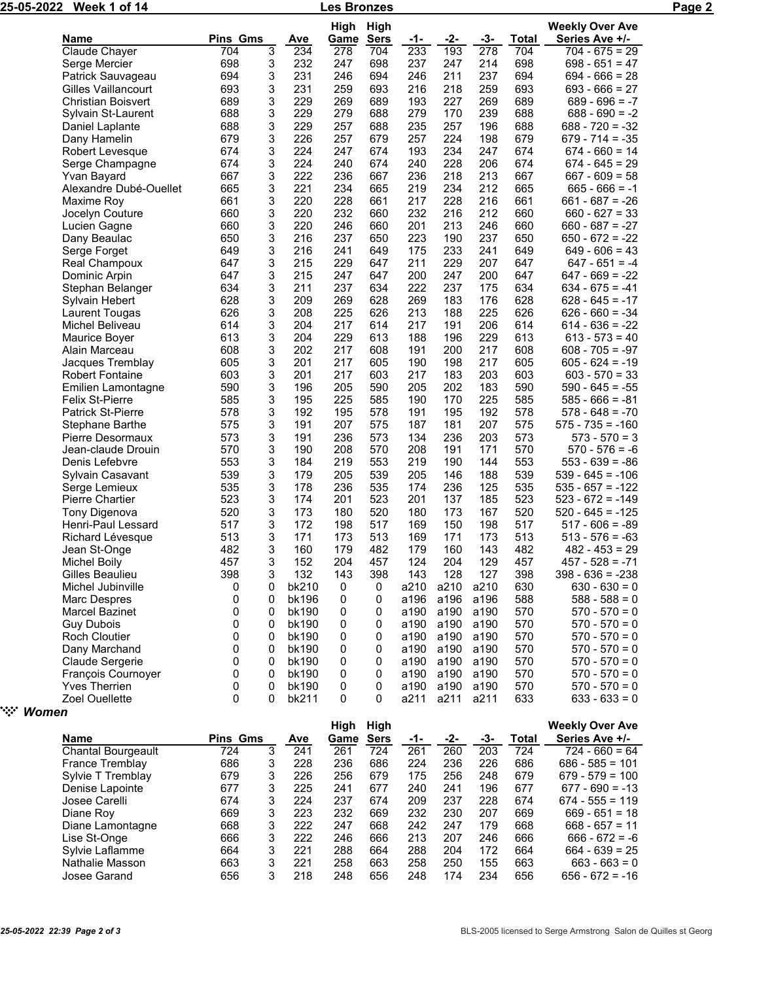| 25-05-2022 Week 1 of 14 |  |
|-------------------------|--|
|                         |  |

Les Bronzes Page 2

|                           |                 |        |       | High   | High        |              |      |              |       | <b>Weekly Over Ave</b> |
|---------------------------|-----------------|--------|-------|--------|-------------|--------------|------|--------------|-------|------------------------|
| Name                      | <b>Pins Gms</b> |        | Ave   | Game   | <b>Sers</b> | -1-          | -2-  | -3-          | Total | Series Ave +/-         |
| Claude Chayer             | 704             | 3      | 234   | 278    | 704         | 233          | 193  | 278          | 704   | $704 - 675 = 29$       |
| Serge Mercier             | 698             | 3      | 232   | 247    | 698         | 237          | 247  | 214          | 698   | $698 - 651 = 47$       |
| Patrick Sauvageau         | 694             | 3      | 231   | 246    | 694         | 246          | 211  | 237          | 694   | $694 - 666 = 28$       |
| Gilles Vaillancourt       | 693             | 3      | 231   | 259    | 693         | 216          | 218  | 259          | 693   | $693 - 666 = 27$       |
| <b>Christian Boisvert</b> | 689             | 3      | 229   | 269    | 689         | 193          | 227  | 269          | 689   | $689 - 696 = -7$       |
| Sylvain St-Laurent        | 688             | 3      | 229   | 279    | 688         | 279          | 170  | 239          | 688   | $688 - 690 = -2$       |
| Daniel Laplante           | 688             | 3      | 229   | 257    | 688         | 235          | 257  | 196          | 688   | $688 - 720 = -32$      |
| Dany Hamelin              | 679             | 3      | 226   | 257    | 679         | 257          | 224  | 198          | 679   | $679 - 714 = -35$      |
| Robert Levesque           | 674             | 3      | 224   | 247    | 674         | 193          | 234  | 247          | 674   | $674 - 660 = 14$       |
| Serge Champagne           | 674             | 3      | 224   | 240    | 674         | 240          | 228  | 206          | 674   | 674 - 645 = 29         |
| Yvan Bayard               | 667             | 3      | 222   | 236    | 667         | 236          | 218  | 213          | 667   | $667 - 609 = 58$       |
| Alexandre Dubé-Ouellet    | 665             | 3      | 221   | 234    | 665         | 219          | 234  | 212          | 665   | $665 - 666 = -1$       |
| Maxime Roy                | 661             | 3      | 220   | 228    | 661         | 217          | 228  | 216          | 661   | $661 - 687 = -26$      |
| Jocelyn Couture           | 660             | 3      | 220   | 232    | 660         | 232          | 216  | 212          | 660   | $660 - 627 = 33$       |
| Lucien Gagne              | 660             | 3      | 220   | 246    | 660         | 201          | 213  | 246          | 660   | $660 - 687 = -27$      |
| Dany Beaulac              | 650             | 3      | 216   | 237    | 650         | 223          | 190  | 237          | 650   | $650 - 672 = -22$      |
| Serge Forget              | 649             | 3      | 216   | 241    | 649         | 175          | 233  | 241          | 649   | $649 - 606 = 43$       |
| Real Champoux             | 647             | 3      | 215   | 229    | 647         | 211          | 229  | 207          | 647   | $647 - 651 = -4$       |
| Dominic Arpin             | 647             | 3      | 215   | 247    | 647         | 200          | 247  | 200          | 647   | $647 - 669 = -22$      |
| Stephan Belanger          | 634             | 3      | 211   | 237    | 634         | 222          | 237  | 175          | 634   | $634 - 675 = -41$      |
| Sylvain Hebert            | 628             | 3      | 209   | 269    | 628         | 269          | 183  | 176          | 628   | $628 - 645 = -17$      |
| Laurent Tougas            | 626             | 3      | 208   | 225    | 626         | 213          | 188  | 225          | 626   | $626 - 660 = -34$      |
| Michel Beliveau           | 614             | 3      | 204   | 217    | 614         | 217          | 191  | 206          | 614   | $614 - 636 = -22$      |
| Maurice Boyer             | 613             | 3      | 204   | 229    | 613         | 188          | 196  | 229          | 613   | $613 - 573 = 40$       |
| Alain Marceau             | 608             | 3      | 202   | 217    | 608         | 191          | 200  | 217          | 608   | $608 - 705 = -97$      |
| Jacques Tremblay          | 605             | 3      | 201   | 217    | 605         | 190          | 198  | 217          | 605   | $605 - 624 = -19$      |
| Robert Fontaine           | 603             | 3      | 201   | 217    | 603         | 217          | 183  | 203          | 603   | $603 - 570 = 33$       |
| Emilien Lamontagne        | 590             | 3      | 196   | 205    | 590         | 205          | 202  | 183          | 590   | $590 - 645 = -55$      |
| <b>Felix St-Pierre</b>    | 585             | 3      | 195   | 225    | 585         | 190          | 170  | 225          | 585   | $585 - 666 = -81$      |
| <b>Patrick St-Pierre</b>  | 578             | 3      | 192   | 195    | 578         | 191          | 195  | 192          | 578   | $578 - 648 = -70$      |
| Stephane Barthe           | 575             | 3      | 191   | 207    | 575         | 187          | 181  | 207          | 575   | $575 - 735 = -160$     |
| Pierre Desormaux          | 573             | 3      | 191   | 236    | 573         | 134          | 236  | 203          | 573   | $573 - 570 = 3$        |
| Jean-claude Drouin        | 570             | 3      | 190   | 208    | 570         | 208          | 191  | 171          | 570   | $570 - 576 = -6$       |
| Denis Lefebvre            | 553             | 3      | 184   | 219    | 553         | 219          | 190  | 144          | 553   | $553 - 639 = -86$      |
| Sylvain Casavant          | 539             | 3      | 179   | 205    | 539         | 205          | 146  | 188          | 539   | $539 - 645 = -106$     |
| Serge Lemieux             | 535             | 3      | 178   | 236    | 535         | 174          | 236  | 125          | 535   | $535 - 657 = -122$     |
| Pierre Chartier           | 523             | 3      | 174   | 201    | 523         | 201          | 137  | 185          | 523   | $523 - 672 = -149$     |
| Tony Digenova             | 520             | 3      | 173   | 180    | 520         | 180          | 173  | 167          | 520   | $520 - 645 = -125$     |
| Henri-Paul Lessard        | 517             | 3      | 172   | 198    | 517         | 169          | 150  | 198          | 517   | $517 - 606 = -89$      |
| Richard Lévesque          | 513             | 3      | 171   | 173    | 513         | 169          | 171  | 173          | 513   | $513 - 576 = -63$      |
| Jean St-Onge              | 482             | 3      | 160   | 179    | 482         | 179          | 160  | 143          | 482   | $482 - 453 = 29$       |
| Michel Boily              | 457             | 3      | 152   | 204    | 457         | 124          | 204  | 129          | 457   | $457 - 528 = -71$      |
| Gilles Beaulieu           | 398             | 3      | 132   | 143    | 398         | 143          | 128  | 127          | 398   | 398 - 636 = -238       |
|                           | 0               | 0      | bk210 | 0      | 0           |              | a210 | a210         | 630   | $630 - 630 = 0$        |
| Michel Jubinville         | 0               |        | bk196 |        |             | a210<br>a196 |      |              | 588   | $588 - 588 = 0$        |
| Marc Despres              | 0               | 0      |       | 0      | 0           |              | a196 | a196<br>a190 |       |                        |
| Marcel Bazinet            | 0               | 0<br>0 | bk190 | 0<br>0 | 0           | a190         | a190 |              | 570   | $570 - 570 = 0$        |
| <b>Guy Dubois</b>         |                 |        | bk190 |        | 0           | a190         | a190 | a190         | 570   | $570 - 570 = 0$        |
| <b>Roch Cloutier</b>      | 0               | 0      | bk190 | 0      | 0           | a190         | a190 | a190         | 570   | $570 - 570 = 0$        |
| Dany Marchand             | 0               | 0      | bk190 | 0      | 0           | a190         | a190 | a190         | 570   | $570 - 570 = 0$        |
| Claude Sergerie           | 0               | 0      | bk190 | 0      | 0           | a190         | a190 | a190         | 570   | $570 - 570 = 0$        |
| François Cournoyer        | 0               | 0      | bk190 | 0      | 0           | a190         | a190 | a190         | 570   | $570 - 570 = 0$        |
| <b>Yves Therrien</b>      | 0               | 0      | bk190 | 0      | 0           | a190         | a190 | a190         | 570   | $570 - 570 = 0$        |
| Zoel Ouellette            | 0               | 0      | bk211 | 0      | 0           | a211         | a211 | a211         | 633   | $633 - 633 = 0$        |

" *Women*

|                           |                 |   |     | High | High        |     |     |     |       | <b>Weekly Over Ave</b> |
|---------------------------|-----------------|---|-----|------|-------------|-----|-----|-----|-------|------------------------|
| <b>Name</b>               | <b>Pins Gms</b> |   | Ave | Game | <b>Sers</b> | -1- | -2- | -3- | Total | Series Ave +/-         |
| <b>Chantal Bourgeault</b> | 724             | 3 | 241 | 261  | 724         | 261 | 260 | 203 | 724   | $724 - 660 = 64$       |
| <b>France Tremblay</b>    | 686             | 3 | 228 | 236  | 686         | 224 | 236 | 226 | 686   | $686 - 585 = 101$      |
| Sylvie T Tremblay         | 679             | 3 | 226 | 256  | 679         | 175 | 256 | 248 | 679   | $679 - 579 = 100$      |
| Denise Lapointe           | 677             | 3 | 225 | 241  | 677         | 240 | 241 | 196 | 677   | $677 - 690 = -13$      |
| Josee Carelli             | 674             | 3 | 224 | 237  | 674         | 209 | 237 | 228 | 674   | $674 - 555 = 119$      |
| Diane Roy                 | 669             | 3 | 223 | 232  | 669         | 232 | 230 | 207 | 669   | $669 - 651 = 18$       |
| Diane Lamontagne          | 668             | 3 | 222 | 247  | 668         | 242 | 247 | 179 | 668   | $668 - 657 = 11$       |
| Lise St-Onge              | 666             | 3 | 222 | 246  | 666         | 213 | 207 | 246 | 666   | $666 - 672 = -6$       |
| Sylvie Laflamme           | 664             | 3 | 221 | 288  | 664         | 288 | 204 | 172 | 664   | $664 - 639 = 25$       |
| Nathalie Masson           | 663             | 3 | 221 | 258  | 663         | 258 | 250 | 155 | 663   | $663 - 663 = 0$        |
| Josee Garand              | 656             | 3 | 218 | 248  | 656         | 248 | 174 | 234 | 656   | $656 - 672 = -16$      |
|                           |                 |   |     |      |             |     |     |     |       |                        |